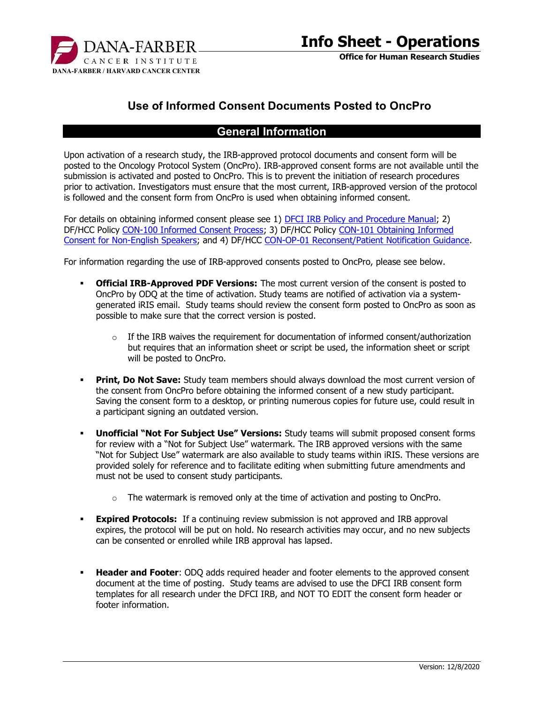

Office for Human Research Studies

# Use of Informed Consent Documents Posted to OncPro

## General Information

Upon activation of a research study, the IRB-approved protocol documents and consent form will be posted to the Oncology Protocol System (OncPro). IRB-approved consent forms are not available until the submission is activated and posted to OncPro. This is to prevent the initiation of research procedures prior to activation. Investigators must ensure that the most current, IRB-approved version of the protocol is followed and the consent form from OncPro is used when obtaining informed consent.

For details on obtaining informed consent please see 1) **DFCI IRB Policy and Procedure Manual**; 2) DF/HCC Policy CON-100 Informed Consent Process; 3) DF/HCC Policy CON-101 Obtaining Informed Consent for Non-English Speakers; and 4) DF/HCC CON-OP-01 Reconsent/Patient Notification Guidance.

For information regarding the use of IRB-approved consents posted to OncPro, please see below.

- **Official IRB-Approved PDF Versions:** The most current version of the consent is posted to OncPro by ODQ at the time of activation. Study teams are notified of activation via a systemgenerated iRIS email. Study teams should review the consent form posted to OncPro as soon as possible to make sure that the correct version is posted.
	- $\circ$  If the IRB waives the requirement for documentation of informed consent/authorization but requires that an information sheet or script be used, the information sheet or script will be posted to OncPro.
- **Print, Do Not Save:** Study team members should always download the most current version of the consent from OncPro before obtaining the informed consent of a new study participant. Saving the consent form to a desktop, or printing numerous copies for future use, could result in a participant signing an outdated version.
- **Unofficial "Not For Subject Use" Versions:** Study teams will submit proposed consent forms for review with a "Not for Subject Use" watermark. The IRB approved versions with the same "Not for Subject Use" watermark are also available to study teams within iRIS. These versions are provided solely for reference and to facilitate editing when submitting future amendments and must not be used to consent study participants.
	- o The watermark is removed only at the time of activation and posting to OncPro.
- **Expired Protocols:** If a continuing review submission is not approved and IRB approval expires, the protocol will be put on hold. No research activities may occur, and no new subjects can be consented or enrolled while IRB approval has lapsed.
- **Header and Footer:** ODQ adds required header and footer elements to the approved consent document at the time of posting. Study teams are advised to use the DFCI IRB consent form templates for all research under the DFCI IRB, and NOT TO EDIT the consent form header or footer information.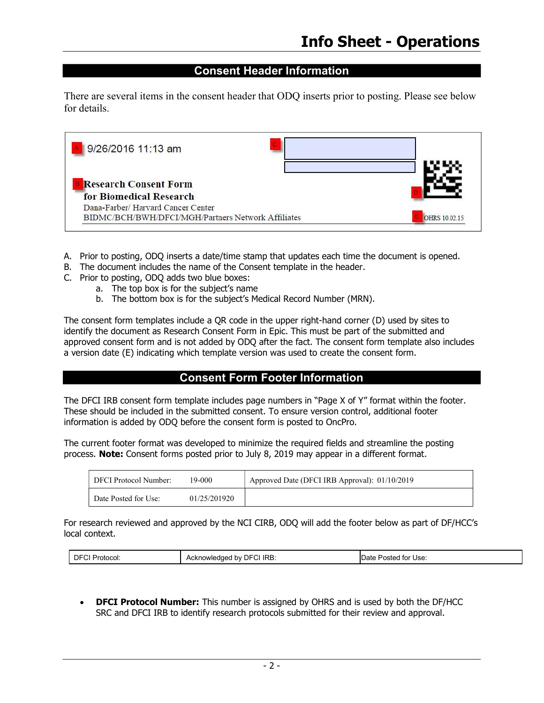### Consent Header Information

There are several items in the consent header that ODQ inserts prior to posting. Please see below for details.

| 9/26/2016 11:13 am                                 |               |
|----------------------------------------------------|---------------|
| <b>Research Consent Form</b>                       |               |
| for Biomedical Research                            |               |
| Dana-Farber/Harvard Cancer Center                  |               |
| BIDMC/BCH/BWH/DFCI/MGH/Partners Network Affiliates | OHRS 10 02 15 |

- A. Prior to posting, ODQ inserts a date/time stamp that updates each time the document is opened.
- B. The document includes the name of the Consent template in the header.
- C. Prior to posting, ODQ adds two blue boxes:
	- a. The top box is for the subject's name
		- b. The bottom box is for the subject's Medical Record Number (MRN).

The consent form templates include a QR code in the upper right-hand corner (D) used by sites to identify the document as Research Consent Form in Epic. This must be part of the submitted and approved consent form and is not added by ODQ after the fact. The consent form template also includes a version date (E) indicating which template version was used to create the consent form.

### Consent Form Footer Information

The DFCI IRB consent form template includes page numbers in "Page X of Y" format within the footer. These should be included in the submitted consent. To ensure version control, additional footer information is added by ODQ before the consent form is posted to OncPro.

The current footer format was developed to minimize the required fields and streamline the posting process. Note: Consent forms posted prior to July 8, 2019 may appear in a different format.

| <b>DFCI</b> Protocol Number: | 19-000       | Approved Date (DFCI IRB Approval): 01/10/2019 |
|------------------------------|--------------|-----------------------------------------------|
| Date Posted for Use:         | 01/25/201920 |                                               |

For research reviewed and approved by the NCI CIRB, ODQ will add the footer below as part of DF/HCC's local context.

| DE<br>.<br>PTOLOGO.<br>$\cdot$ $\cdot$ $\cdot$ | <b>IRB</b><br>ว⊦<br>… Knowleager ∴<br>ער<br>$\cdots$<br>- - | Use:<br>tor<br>Jate<br>'oster. |
|------------------------------------------------|-------------------------------------------------------------|--------------------------------|
|                                                |                                                             |                                |

• DFCI Protocol Number: This number is assigned by OHRS and is used by both the DF/HCC SRC and DFCI IRB to identify research protocols submitted for their review and approval.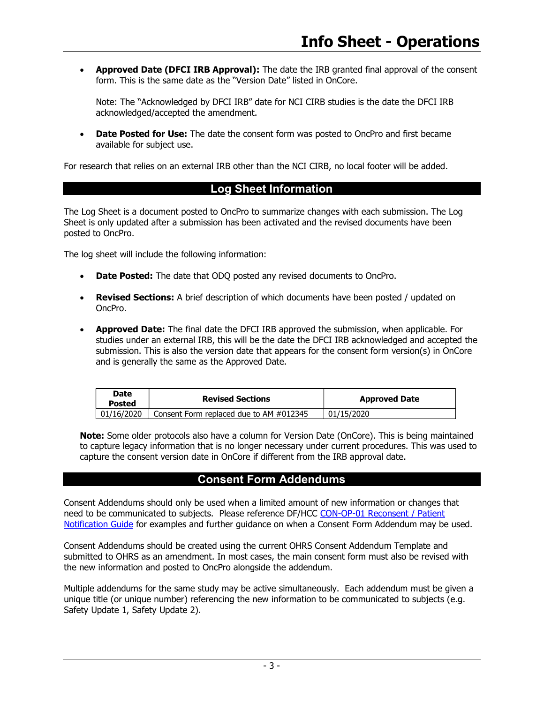• Approved Date (DFCI IRB Approval): The date the IRB granted final approval of the consent form. This is the same date as the "Version Date" listed in OnCore.

Note: The "Acknowledged by DFCI IRB" date for NCI CIRB studies is the date the DFCI IRB acknowledged/accepted the amendment.

• Date Posted for Use: The date the consent form was posted to OncPro and first became available for subject use.

For research that relies on an external IRB other than the NCI CIRB, no local footer will be added.

### Log Sheet Information

The Log Sheet is a document posted to OncPro to summarize changes with each submission. The Log Sheet is only updated after a submission has been activated and the revised documents have been posted to OncPro.

The log sheet will include the following information:

- Date Posted: The date that ODQ posted any revised documents to OncPro.
- Revised Sections: A brief description of which documents have been posted / updated on OncPro.
- Approved Date: The final date the DFCI IRB approved the submission, when applicable. For studies under an external IRB, this will be the date the DFCI IRB acknowledged and accepted the submission. This is also the version date that appears for the consent form version(s) in OnCore and is generally the same as the Approved Date.

| Date<br>Posted | <b>Revised Sections</b>                   | <b>Approved Date</b> |
|----------------|-------------------------------------------|----------------------|
| 01/16/2020     | Consent Form replaced due to AM $#012345$ | 01/15/2020           |

Note: Some older protocols also have a column for Version Date (OnCore). This is being maintained to capture legacy information that is no longer necessary under current procedures. This was used to capture the consent version date in OnCore if different from the IRB approval date.

### Consent Form Addendums

Consent Addendums should only be used when a limited amount of new information or changes that need to be communicated to subjects. Please reference DF/HCC CON-OP-01 Reconsent / Patient Notification Guide for examples and further guidance on when a Consent Form Addendum may be used.

Consent Addendums should be created using the current OHRS Consent Addendum Template and submitted to OHRS as an amendment. In most cases, the main consent form must also be revised with the new information and posted to OncPro alongside the addendum.

Multiple addendums for the same study may be active simultaneously. Each addendum must be given a unique title (or unique number) referencing the new information to be communicated to subjects (e.g. Safety Update 1, Safety Update 2).